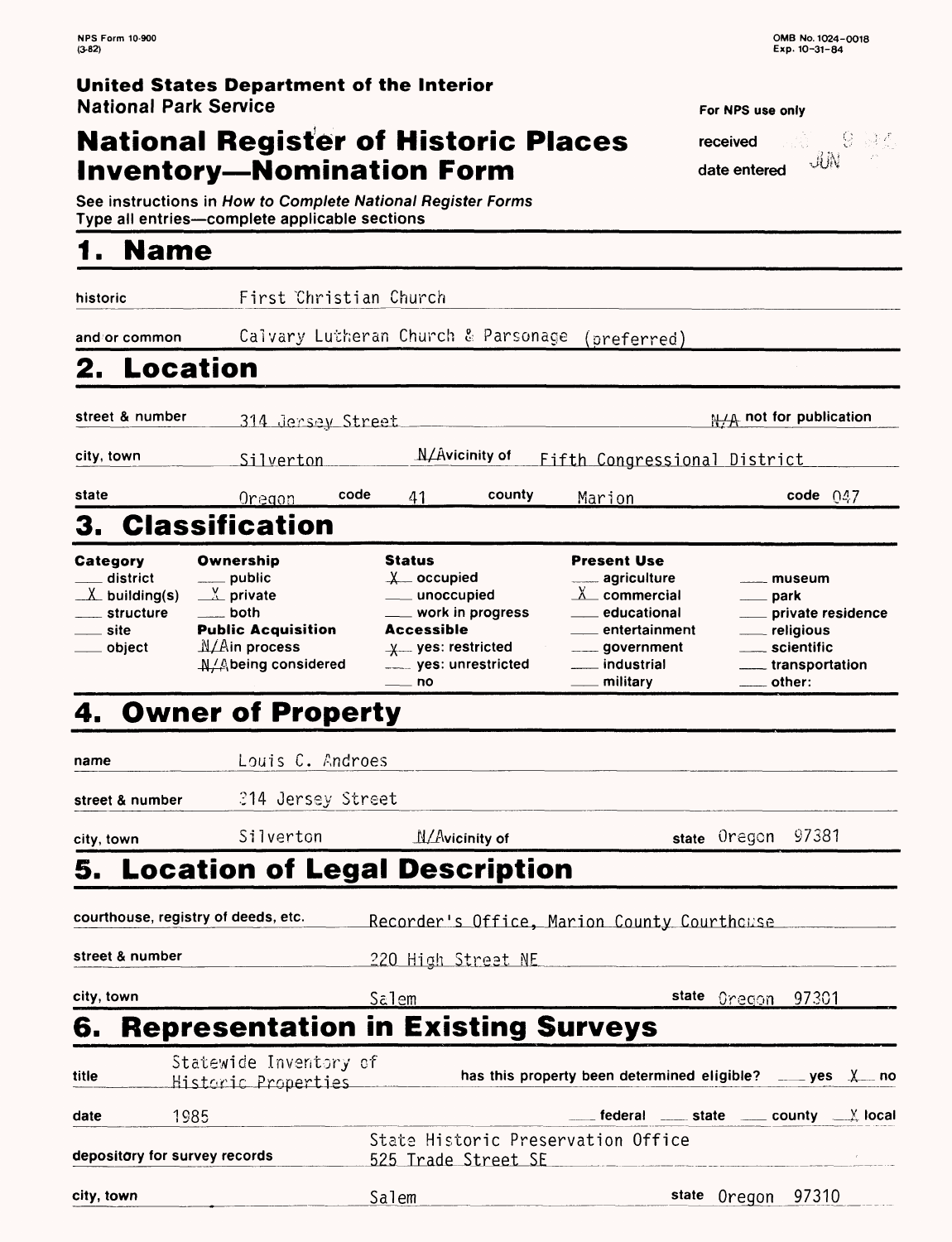## **National Register of Historic Places Inventory—Nomination Form** date entered

- 9 波烈 received  $\dot{\mathbb{U}}$  $\overline{\mathcal{E}}^{\alpha}$ 

| See instructions in How to Complete National Register Forms |  |
|-------------------------------------------------------------|--|
| Type all entries-complete applicable sections               |  |
|                                                             |  |

## **1. Name**

| historic                                                                                      | First Christian Church                                                                                                                     |                                                                                                                                           |                                                                                                                                                                                                    |                                                                                                                  |
|-----------------------------------------------------------------------------------------------|--------------------------------------------------------------------------------------------------------------------------------------------|-------------------------------------------------------------------------------------------------------------------------------------------|----------------------------------------------------------------------------------------------------------------------------------------------------------------------------------------------------|------------------------------------------------------------------------------------------------------------------|
| and/or common                                                                                 |                                                                                                                                            | Calvary Lutheran Church & Parsonage                                                                                                       | (preferred)                                                                                                                                                                                        |                                                                                                                  |
| Location<br>2.                                                                                |                                                                                                                                            |                                                                                                                                           |                                                                                                                                                                                                    |                                                                                                                  |
| street & number                                                                               | 314 Jersey Street                                                                                                                          |                                                                                                                                           |                                                                                                                                                                                                    | <b>N/A</b> not for publication                                                                                   |
| city, town                                                                                    | Silverton                                                                                                                                  | $\Lambda/\Lambda$ vicinity of                                                                                                             | Fifth Congressional District                                                                                                                                                                       |                                                                                                                  |
| state                                                                                         | <u>Oregon</u>                                                                                                                              | code<br>county<br>41                                                                                                                      | <u>Marion</u>                                                                                                                                                                                      | code $047$                                                                                                       |
| 3.                                                                                            | <b>Classification</b>                                                                                                                      |                                                                                                                                           |                                                                                                                                                                                                    |                                                                                                                  |
| Category<br>$\_$ district<br>$X$ building(s)<br><sub>structure</sub><br>__ site<br>___ object | Ownership<br>$\equiv$ public<br>$\frac{v}{2}$ private<br>____ both<br><b>Public Acquisition</b><br>$M/A$ in process<br>A/Abeing considered | Status<br>$x$ occupied<br>___ unoccupied<br>___ work in progress<br>Accessible<br>$x$ yes: restricted<br>_____ yes: unrestricted<br>—— no | <b>Present Use</b><br><u>__</u> __ agriculture<br>$\underline{\chi}$ commercial<br><b>── educational</b><br>entertainment<br><sub>____</sub> government<br>___ industrial<br><sub>—</sub> military | ____ museum<br><u>__</u> __ park<br>private residence<br>___ religious<br>____ scientific<br>____ transportation |
|                                                                                               | 4. Owner of Property                                                                                                                       |                                                                                                                                           |                                                                                                                                                                                                    |                                                                                                                  |
| name                                                                                          | Louis C. Androes                                                                                                                           |                                                                                                                                           |                                                                                                                                                                                                    |                                                                                                                  |
| street & number                                                                               | 214 Jersey Street                                                                                                                          |                                                                                                                                           |                                                                                                                                                                                                    |                                                                                                                  |
| city, town                                                                                    | Silverton                                                                                                                                  | N/Avicinity of                                                                                                                            |                                                                                                                                                                                                    | 97381<br>state Oregon                                                                                            |
|                                                                                               |                                                                                                                                            | 5. Location of Legal Description                                                                                                          |                                                                                                                                                                                                    |                                                                                                                  |
|                                                                                               | courthouse, registry of deeds, etc.                                                                                                        |                                                                                                                                           | Recorder's Office, Marion County Courthouse                                                                                                                                                        |                                                                                                                  |
| street & number                                                                               |                                                                                                                                            | 220 High Street NE                                                                                                                        |                                                                                                                                                                                                    |                                                                                                                  |
| city, town                                                                                    |                                                                                                                                            | <u>Salem</u>                                                                                                                              | state                                                                                                                                                                                              | <u> Oregon 97301</u>                                                                                             |
| 6.                                                                                            |                                                                                                                                            | <b>Representation in Existing Surveys</b>                                                                                                 |                                                                                                                                                                                                    |                                                                                                                  |
| title                                                                                         | Statewide Inventory of<br>Historic Properties                                                                                              |                                                                                                                                           | has this property been determined eligible? ____ yes X__ no                                                                                                                                        |                                                                                                                  |
| date                                                                                          | 1985                                                                                                                                       |                                                                                                                                           |                                                                                                                                                                                                    | $\equiv$ federal $\equiv$ state $\equiv$ county $\equiv$ X local                                                 |
| depository for survey records                                                                 |                                                                                                                                            | State Historic Preservation Office<br>525 Trade Street SE                                                                                 |                                                                                                                                                                                                    |                                                                                                                  |
| city, town                                                                                    |                                                                                                                                            | Salem                                                                                                                                     | state                                                                                                                                                                                              | 97310<br>Oregon                                                                                                  |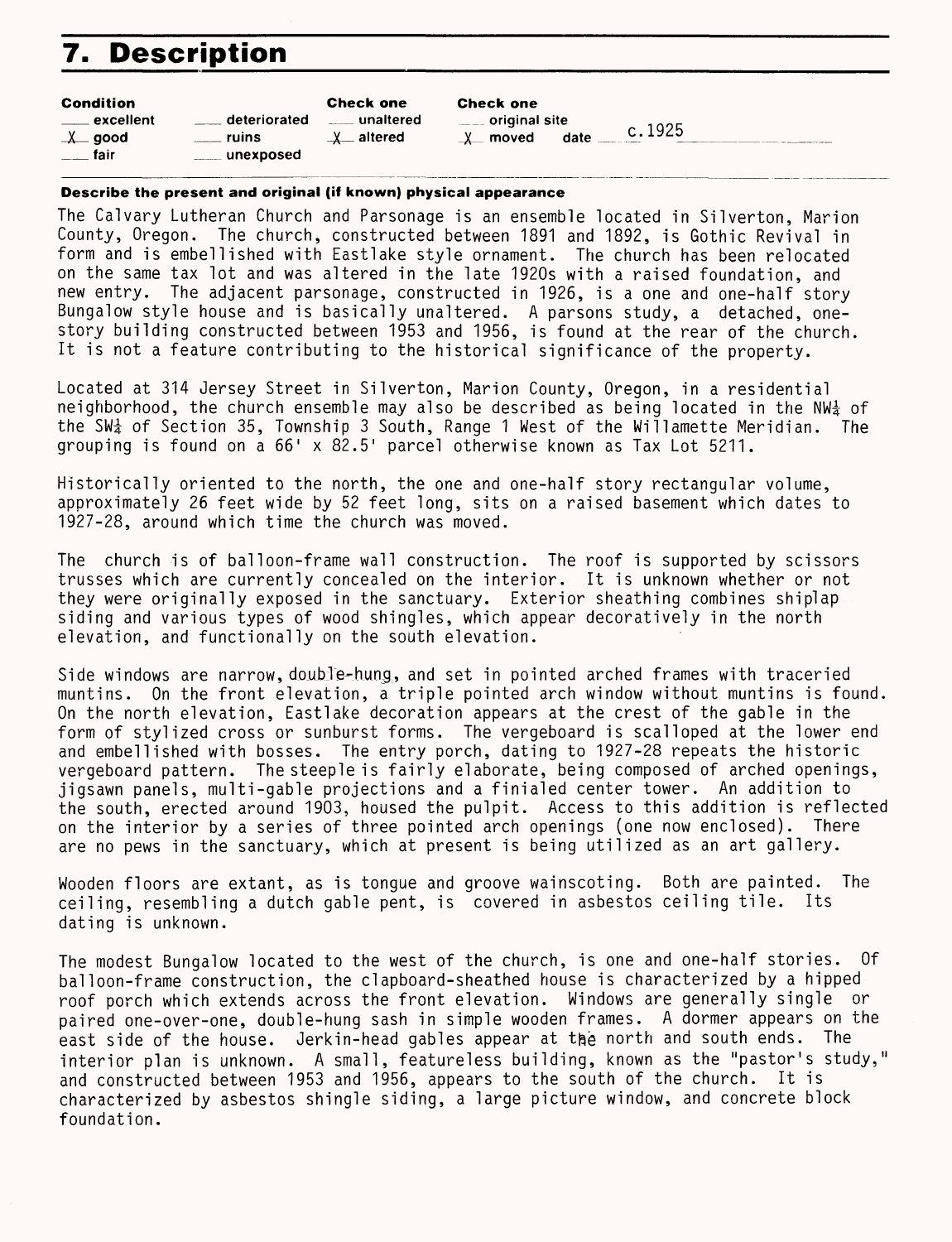# **7. Description**

| <b>Condition</b><br>deteriorated<br>. excellent<br>$-\lambda$ good<br><b>ruins</b><br>— fair<br>unexposed | <b>Check one</b><br>⊥ unaltered<br>$x$ altered | <b>Check one</b><br><u>_</u> ___ original site<br>c.1925<br>moved<br>date ___<br>X |
|-----------------------------------------------------------------------------------------------------------|------------------------------------------------|------------------------------------------------------------------------------------|
|                                                                                                           |                                                |                                                                                    |

#### **Describe the present and original (if known) physical appearance**

The Calvary Lutheran Church and Parsonage is an ensemble located in Silverton, Marion County, Oregon. The church, constructed between 1891 and 1892, is Gothic Revival in form and is embellished with Eastlake style ornament. The church has been relocated on the same tax lot and was altered in the late 1920s with a raised foundation, and new entry. The adjacent parsonage, constructed in 1926, is a one and one-half story Bungalow style house and is basically unaltered. A parsons study, a detached, onestory building constructed between 1953 and 1956, is found at the rear of the church. It is not a feature contributing to the historical significance of the property.

Located at 314 Jersey Street in Silverton, Marion County, Oregon, in a residential neighborhood, the church ensemble may also be described as being located in the NW $\frac{1}{2}$  of the SW $\frac{1}{2}$  of Section 35, Township 3 South, Range 1 West of the Willamette Meridian. The grouping is found on a 66' x 82.5' parcel otherwise known as Tax Lot 5211.

Historically oriented to the north, the one and one-half story rectangular volume, approximately 26 feet wide by 52 feet long, sits on a raised basement which dates to 1927-28, around which time the church was moved.

The church is of balloon-frame wall construction. The roof is supported by scissors trusses which are currently concealed on the interior. It is unknown whether or not they were originally exposed in the sanctuary. Exterior sheathing combines shiplap siding and various types of wood shingles, which appear decoratively in the north elevation, and functionally on the south elevation.

Side windows are narrow, doubTe-hung, and set in pointed arched frames with traceried muntins. On the front elevation, a triple pointed arch window without muntins is found. On the north elevation, Eastlake decoration appears at the crest of the gable in the form of stylized cross or sunburst forms. The vergeboard is scalloped at the lower end and embellished with bosses. The entry porch, dating to 1927-28 repeats the historic vergeboard pattern. The steeple is fairly elaborate, being composed of arched openings, jigsawn panels, multi-gable projections and a finialed center tower. An addition to the south, erected around 1903, housed the pulpit. Access to this addition is reflected on the interior by a series of three pointed arch openings (one now enclosed). There are no pews in the sanctuary, which at present is being utilized as an art gallery.

Wooden floors are extant, as is tongue and groove wainscoting. Both are painted. The ceiling, resembling a dutch gable pent, is covered in asbestos ceiling tile. Its dating is unknown.

The modest Bungalow located to the west of the church, is one and one-half stories. Of balloon-frame construction, the clapboard-sheathed house is characterized by a hipped roof porch which extends across the front elevation. Windows are generally single or paired one-over-one, double-hung sash in simple wooden frames. A dormer appears on the east side of the house. Jerkin-head gables appear at the north and south ends. The interior plan is unknown. A small, featureless building, known as the "pastor's study," and constructed between 1953 and 1956, appears to the south of the church. It is characterized by asbestos shingle siding, a large picture window, and concrete block foundation.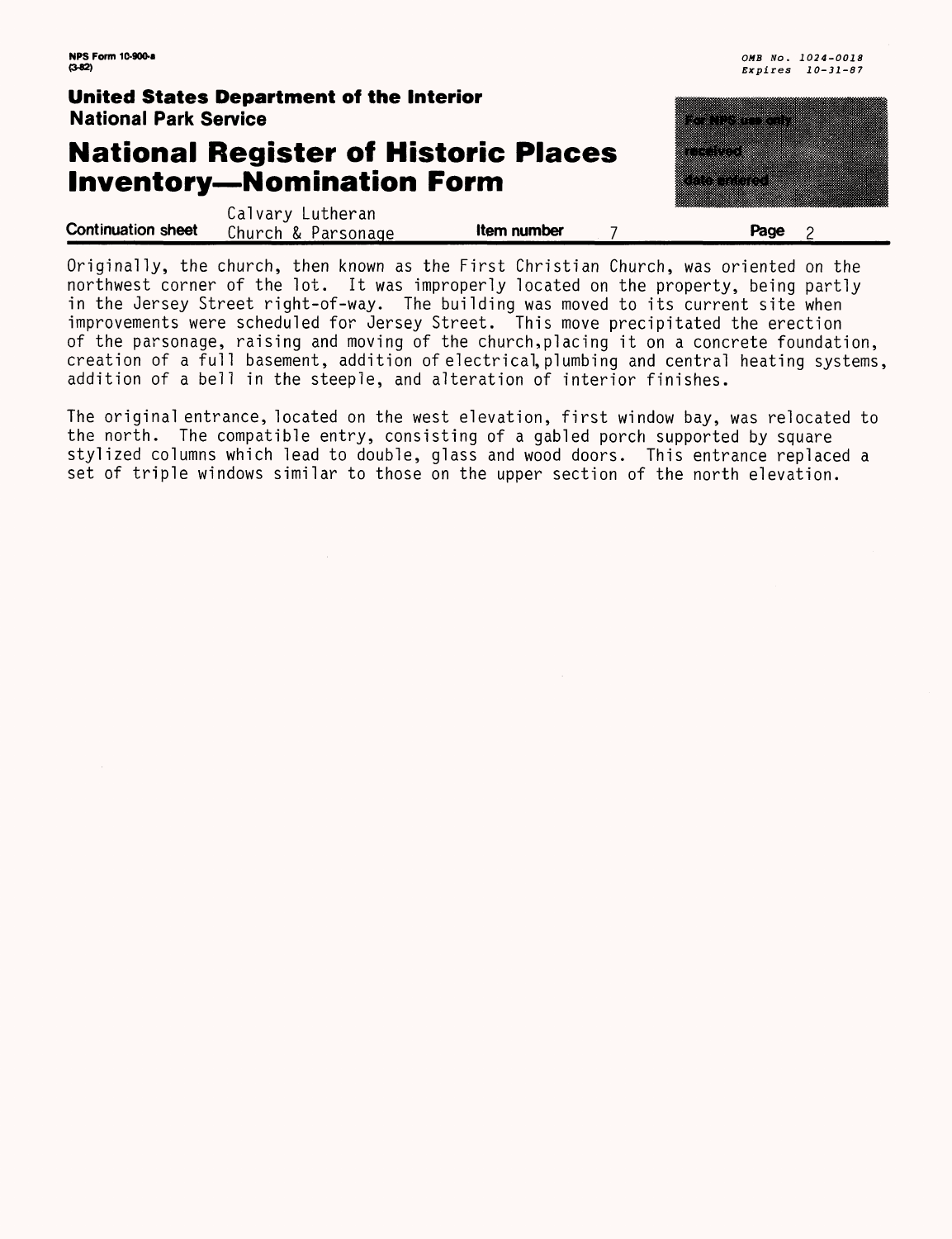### **United States Department of the Interior** National Park Service

Calvary Lutheran **Continuation sheet** Church & Parsonage **11 Item number** 

### **National Register of Historic Places Inventory—Nomination Form**

| Page                          |
|-------------------------------|
|                               |
| m<br>医吸虫<br>83.88<br>b,<br>ß. |
|                               |
|                               |
|                               |
|                               |
| w.                            |
|                               |
|                               |

Originally, the church, then known as the First Christian Church, was oriented on the northwest corner of the lot. It was improperly located on the property, being partly in the Jersey Street right-of-way. The building was moved to its current site when improvements were scheduled for Jersey Street. This move precipitated the erection of the parsonage, raising and moving of the church,placing it on a concrete foundation, creation of a full basement, addition of electrical, plumbing and central heating systems, addition of a bell in the steeple, and alteration of interior finishes.

The original entrance, located on the west elevation, first window bay, was relocated to the north. The compatible entry, consisting of a gabled porch supported by square stylized columns which lead to double, glass and wood doors. This entrance replaced a set of triple windows similar to those on the upper section of the north elevation.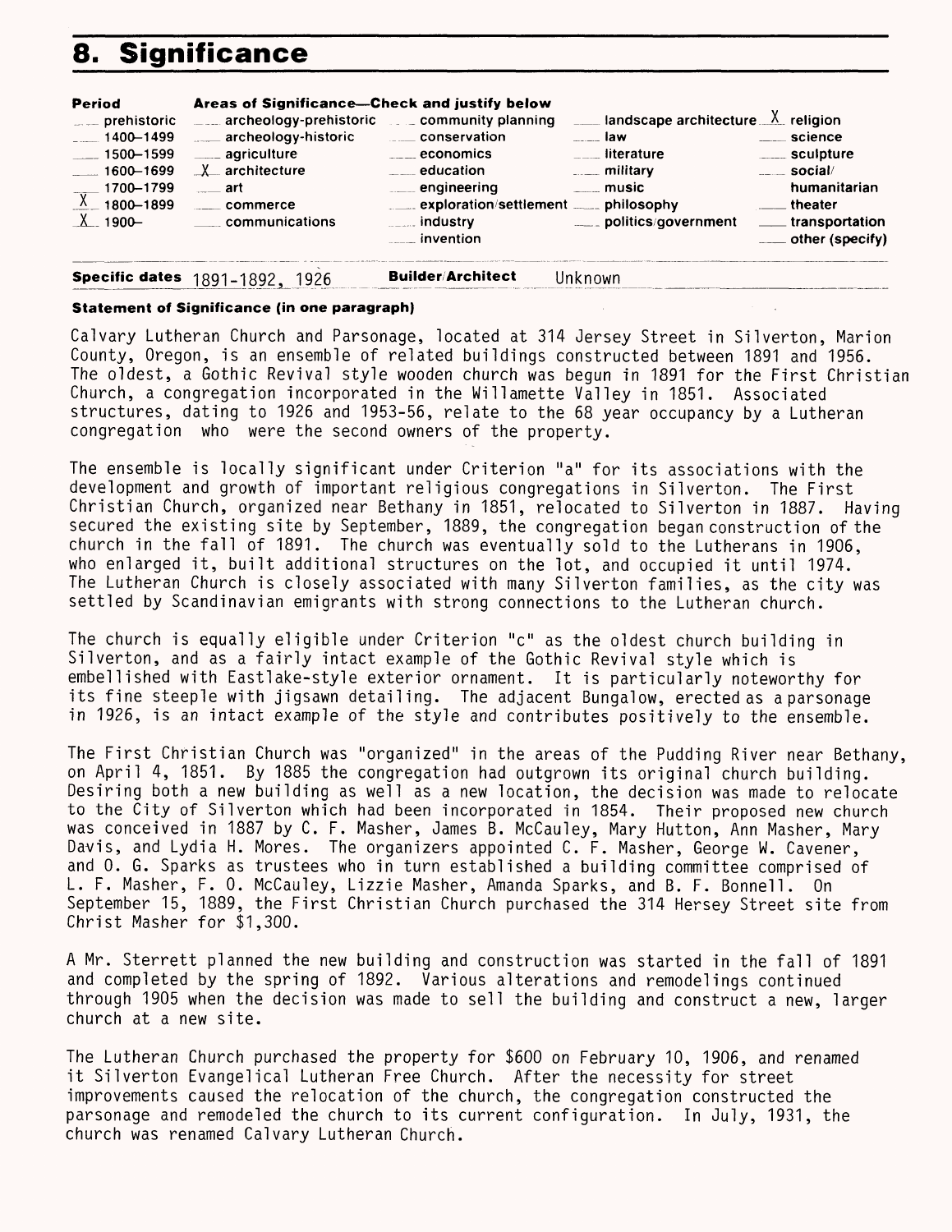# **8. Significance**

| <b>Period</b><br>$\equiv$ prehistoric<br>$-1400 - 1499$<br>$\frac{1}{2}$ 1500–1599<br>$-1600-1699$<br>$\frac{1700 - 1799}{1800 - 1899}$ | Areas of Significance-Check and justify below<br>$\frac{1}{2}$ archeology-prehistoric $\frac{1}{2}$ community planning<br>archeology-historic<br>____ agriculture<br>$X$ architecture<br>्___ art<br>commerce<br>communications | ____ conservation<br>____ economics<br>$\equiv$ education<br>engineering<br>exploration/settlement ____ philosophy<br><b>Example 10</b> industry<br>invention_ | <b>EXECUTE:</b> landscape architecture $\frac{\chi}{\chi}$ religion<br>a law<br><u>___</u> literature<br><u>__</u> ___ military<br>_____ music<br>____ politics/government | <u>___</u> science<br>_____ sculpture<br>social/<br>humanitarian<br><u>_</u> __theater<br>_____ transportation<br>$\equiv$ other (specify) |
|-----------------------------------------------------------------------------------------------------------------------------------------|---------------------------------------------------------------------------------------------------------------------------------------------------------------------------------------------------------------------------------|----------------------------------------------------------------------------------------------------------------------------------------------------------------|----------------------------------------------------------------------------------------------------------------------------------------------------------------------------|--------------------------------------------------------------------------------------------------------------------------------------------|
|                                                                                                                                         | <b>Specific dates</b> 1891-1892, 1926                                                                                                                                                                                           | <b>Builder/Architect</b>                                                                                                                                       | Jnknown                                                                                                                                                                    |                                                                                                                                            |

#### **Statement of Significance (in one paragraph)**

Calvary Lutheran Church and Parsonage, located at 314 Jersey Street in Silverton, Marion County, Oregon, is an ensemble of related buildings constructed between 1891 and 1956. The oldest, a Gothic Revival style wooden church was begun in 1891 for the First Christian Church, a congregation incorporated in the Willamette Valley in 1851. Associated structures, dating to 1926 and 1953-56, relate to the 68 year occupancy by a Lutheran congregation who were the second owners of the property.

The ensemble is locally significant under Criterion "a" for its associations with the development and growth of important religious congregations in Silverton. The First Christian Church, organized near Bethany in 1851, relocated to Silverton in 1887. Having secured the existing site by September, 1889, the congregation began construction of the church in the fall of 1891. The church was eventually sold to the Lutherans in 1906, who enlarged it, built additional structures on the lot, and occupied it until 1974. The Lutheran Church is closely associated with many Silverton families, as the city was settled by Scandinavian emigrants with strong connections to the Lutheran church.

The church is equally eligible under Criterion "c" as the oldest church building in Silverton, and as a fairly intact example of the Gothic Revival style which is embellished with Eastlake-style exterior ornament. It is particularly noteworthy for its fine steeple with jigsawn detailing. The adjacent Bungalow, erected as a parsonage in 1926, is an intact example of the style and contributes positively to the ensemble.

The First Christian Church was "organized" in the areas of the Pudding River near Bethany, on April 4, 1851. By 1885 the congregation had outgrown its original church building. Desiring both a new building as well as a new location, the decision was made to relocate to the City of Silverton which had been incorporated in 1854. Their proposed new church was conceived in 1887 by C. F. Masher, James B. McCauley, Mary Hutton, Ann Masher, Mary Davis, and Lydia H. Mores. The organizers appointed C. F. Masher, George W. Cavener, and 0. G. Sparks as trustees who in turn established a building committee comprised of L. F. Masher, F. 0. McCauley, Lizzie Masher, Amanda Sparks, and B. F. Bonne!1. On September 15, 1889, the First Christian Church purchased the 314 Mersey Street site from Christ Masher for \$1,300.

A Mr. Sterrett planned the new building and construction was started in the fall of 1891 and completed by the spring of 1892. Various alterations and remodelings continued through 1905 when the decision was made to sell the building and construct a new, larger church at a new site.

The Lutheran Church purchased the property for \$600 on February 10, 1906, and renamed it Silverton Evangelical Lutheran Free Church. After the necessity for street improvements caused the relocation of the church, the congregation constructed the parsonage and remodeled the church to its current configuration. In July, 1931, the church was renamed Calvary Lutheran Church.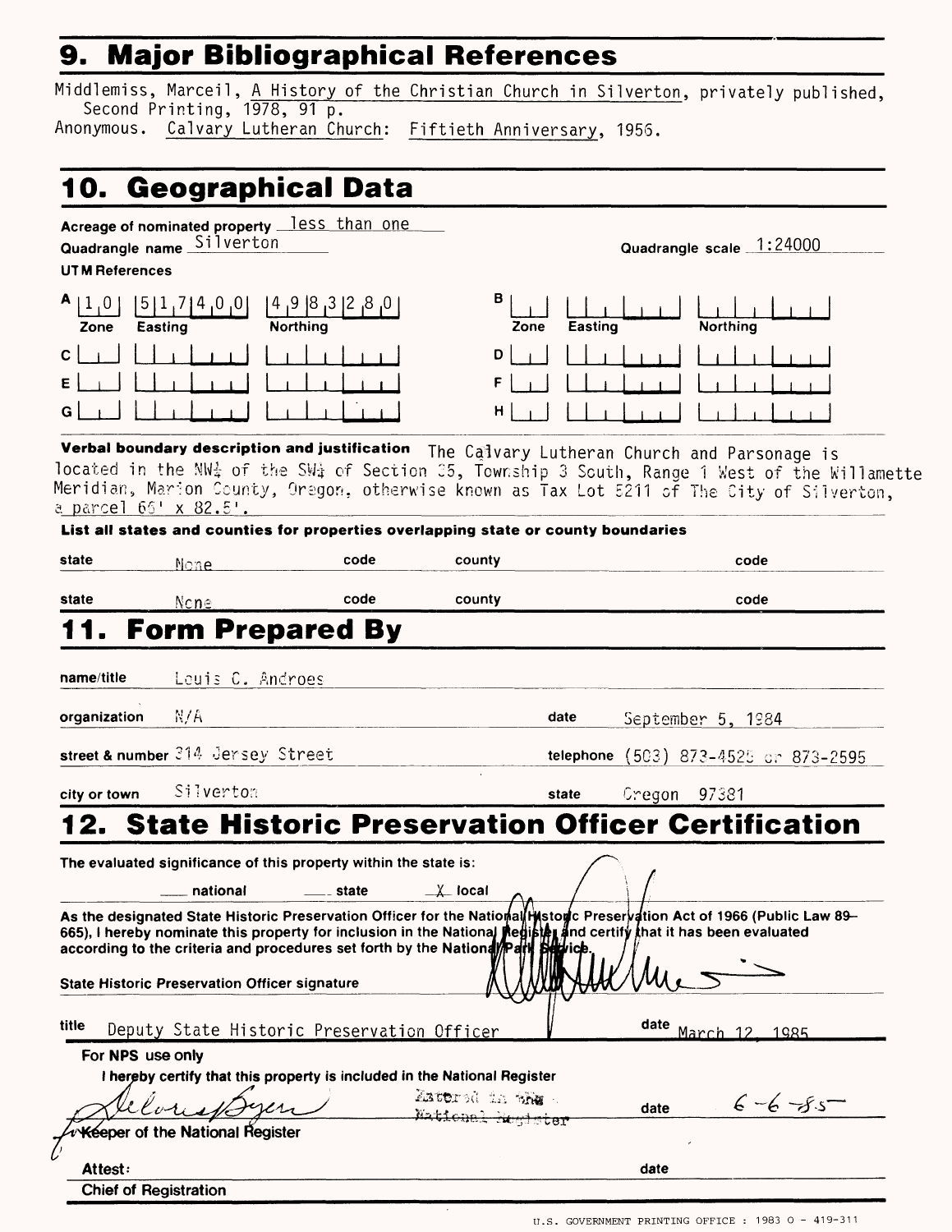## **9. Major Bibliographical References**

Middlemiss, Marceil, A History of the Christian Church in Silverton, privately published, Second Printing, 1978, 91 p.

Anonymous. Calvary Lutheran Church: Fiftieth Anniversary, 1956.

## **10. Geographical Data**

Acreage of nominated property less than one Quadrangle name Silverton

UT M References

| Zone                            | $5$   :<br>$10^{15}$<br>,υ<br>Easting | 8,<br> 8 <br>- 9 -<br>U,<br><b>Northing</b> |
|---------------------------------|---------------------------------------|---------------------------------------------|
| $\rightarrow$ 1<br>$\mathsf{c}$ | $\lfloor \rfloor$                     |                                             |
| E                               | $\mathbf{L}$                          |                                             |
| G                               | $\mathbf{1}$                          |                                             |

 $\overline{ }$ Zone Easting Northing  $\begin{array}{c} 1 \ \ \frac{1}{2} \ \ \frac{1}{2} \ \ \frac{1}{2} \ \ \frac{1}{2} \ \ \frac{1}{2} \ \ \frac{1}{2} \ \ \frac{1}{2} \ \ \frac{1}{2} \ \ \frac{1}{2} \ \ \frac{1}{2} \ \ \frac{1}{2} \ \ \frac{1}{2} \ \ \frac{1}{2} \ \ \frac{1}{2} \ \ \frac{1}{2} \ \ \frac{1}{2} \ \ \frac{1}{2} \ \ \frac{1}{2} \ \ \frac{1}{2} \ \ \frac{1}{2} \ \ \frac{1}{2} \ \ \frac{1}{2} \ \ \frac{1}{2} \ \ \frac$  $\mathsf{FLI}$   $\Box$ سلما للما  $\overline{1}$  $\perp$ 

Quadrangle scale 1:24000

**Verbal boundary description and justification** The Calvary Lutheran Church and Parsonage is located in the NW $\frac{1}{4}$  of the SW $\frac{1}{4}$  of Section 35, Township 3 South, Range 1 West of the Willamette Meridian, Mar-ion County, Oregon, otherwise known as Tax Lot 5211 of The City of SI Iverton, a parcel  $66' \times 82.5'$ .

в

D

| state                     | None.                                                | code                                                                                   | county                       |           | code                                                                                                                                                                                                                                                                                                                                  |
|---------------------------|------------------------------------------------------|----------------------------------------------------------------------------------------|------------------------------|-----------|---------------------------------------------------------------------------------------------------------------------------------------------------------------------------------------------------------------------------------------------------------------------------------------------------------------------------------------|
| state                     | None                                                 | code                                                                                   | county                       |           | code                                                                                                                                                                                                                                                                                                                                  |
|                           |                                                      | 11. Form Prepared By                                                                   |                              |           |                                                                                                                                                                                                                                                                                                                                       |
| name/title                | Leuis C. Androes                                     |                                                                                        |                              |           |                                                                                                                                                                                                                                                                                                                                       |
| organization              | N/A                                                  |                                                                                        |                              | date      | September 5, 1984                                                                                                                                                                                                                                                                                                                     |
|                           | street & number 314 Jersey Street                    |                                                                                        |                              | telephone | $(503)$ 873-4525 or 873-2595                                                                                                                                                                                                                                                                                                          |
| city or town              | Silvertom                                            |                                                                                        |                              | state     | Gregon 97381                                                                                                                                                                                                                                                                                                                          |
|                           | national                                             | The evaluated significance of this property within the state is:<br><u>___</u> _ state | $\mathsf{X}\mathsf{I}$ local |           | 12. State Historic Preservation Officer Certification                                                                                                                                                                                                                                                                                 |
|                           |                                                      |                                                                                        |                              |           | As the designated State Historic Preservation Officer for the National Historic Preservation Act of 1966 (Public Law 89–<br>As the designated state material receivers and contain the National Redisting and certify that it has been evaluated<br>according to the criteria and procedures set forth by the National Petri Barrice. |
|                           | <b>State Historic Preservation Officer signature</b> | Deputy State Historic Preservation Officer                                             |                              |           |                                                                                                                                                                                                                                                                                                                                       |
| title<br>For NPS use only |                                                      | I hereby certify that this property is included in the National Register               | Anothrod in the .            |           | date March 12, 1985<br>$6 - 6 - 85$<br>date                                                                                                                                                                                                                                                                                           |
|                           | eloriale<br>Keeper of the National Register          |                                                                                        | Wational Register            |           |                                                                                                                                                                                                                                                                                                                                       |